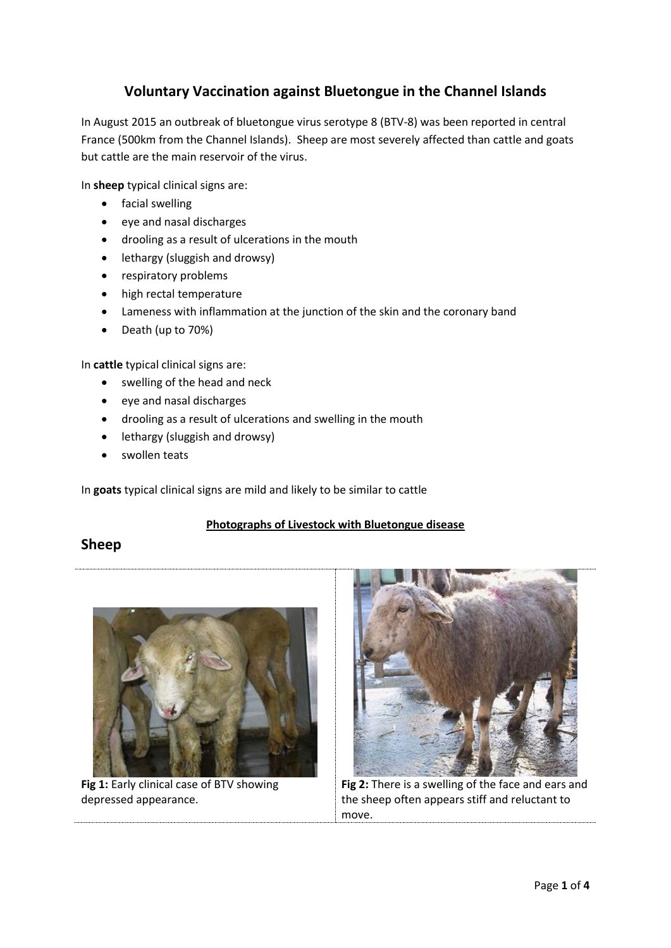# **Voluntary Vaccination against Bluetongue in the Channel Islands**

In August 2015 an outbreak of bluetongue virus serotype 8 (BTV-8) was been reported in central France (500km from the Channel Islands). Sheep are most severely affected than cattle and goats but cattle are the main reservoir of the virus.

In **sheep** typical clinical signs are:

- **•** facial swelling
- eye and nasal discharges
- drooling as a result of ulcerations in the mouth
- lethargy (sluggish and drowsy)
- respiratory problems
- high rectal temperature
- Lameness with inflammation at the junction of the skin and the coronary band
- Death (up to 70%)

In **cattle** typical clinical signs are:

- swelling of the head and neck
- eye and nasal discharges
- drooling as a result of ulcerations and swelling in the mouth
- lethargy (sluggish and drowsy)
- swollen teats

In **goats** typical clinical signs are mild and likely to be similar to cattle

### **Photographs of Livestock with Bluetongue disease**

## **Sheep**



**Fig 1:** Early clinical case of BTV showing depressed appearance.



**Fig 2:** There is a swelling of the face and ears and the sheep often appears stiff and reluctant to move.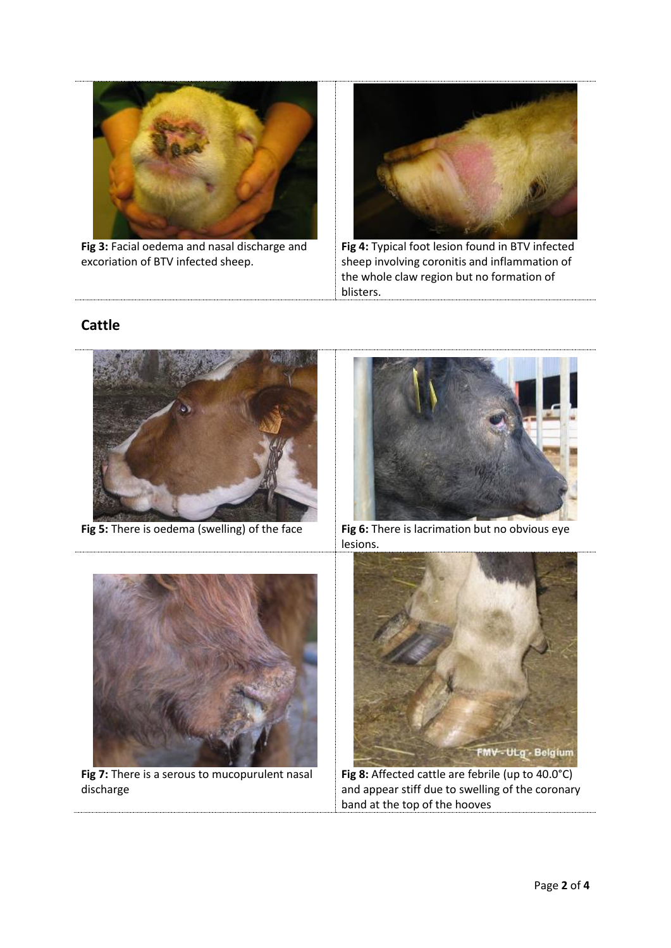

**Fig 3:** Facial oedema and nasal discharge and excoriation of BTV infected sheep.



**Fig 4:** Typical foot lesion found in BTV infected sheep involving coronitis and inflammation of the whole claw region but no formation of blisters.

# **Cattle**





**Fig 7:** There is a serous to mucopurulent nasal discharge



**Fig 5:** There is oedema (swelling) of the face **Fig 6:** There is lacrimation but no obvious eye lesions.



**Fig 8:** Affected cattle are febrile (up to 40.0°C) and appear stiff due to swelling of the coronary band at the top of the hooves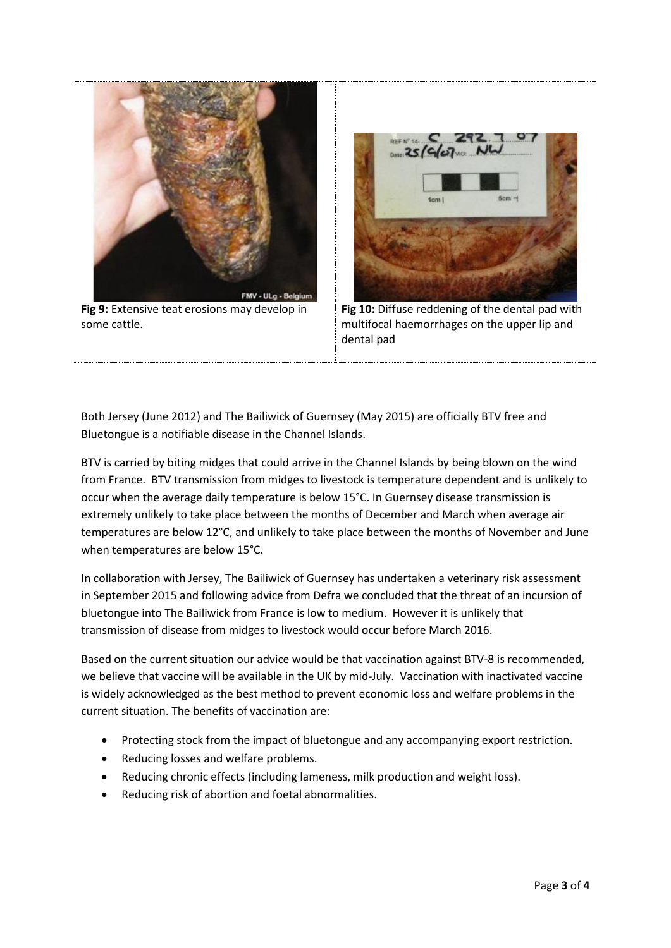

**Fig 9:** Extensive teat erosions may develop in some cattle.



**Fig 10:** Diffuse reddening of the dental pad with multifocal haemorrhages on the upper lip and dental pad

Both Jersey (June 2012) and The Bailiwick of Guernsey (May 2015) are officially BTV free and Bluetongue is a notifiable disease in the Channel Islands.

BTV is carried by biting midges that could arrive in the Channel Islands by being blown on the wind from France. BTV transmission from midges to livestock is temperature dependent and is unlikely to occur when the average daily temperature is below 15°C. In Guernsey disease transmission is extremely unlikely to take place between the months of December and March when average air temperatures are below 12°C, and unlikely to take place between the months of November and June when temperatures are below 15°C.

In collaboration with Jersey, The Bailiwick of Guernsey has undertaken a veterinary risk assessment in September 2015 and following advice from Defra we concluded that the threat of an incursion of bluetongue into The Bailiwick from France is low to medium. However it is unlikely that transmission of disease from midges to livestock would occur before March 2016.

Based on the current situation our advice would be that vaccination against BTV-8 is recommended, we believe that vaccine will be available in the UK by mid-July. Vaccination with inactivated vaccine is widely acknowledged as the best method to prevent economic loss and welfare problems in the current situation. The benefits of vaccination are:

- Protecting stock from the impact of bluetongue and any accompanying export restriction.
- Reducing losses and welfare problems.
- Reducing chronic effects (including lameness, milk production and weight loss).
- Reducing risk of abortion and foetal abnormalities.